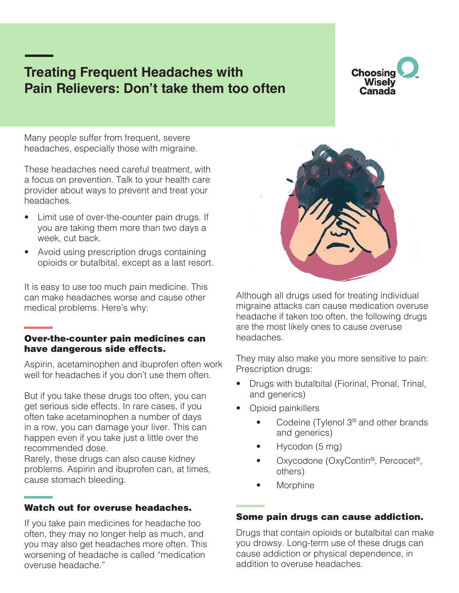# **Treating Frequent Headaches with Pain Relievers: Don't take them too often**

**Choosing** Wiselv Canada

Many people suffer from frequent, severe headaches, especially those with migraine.

These headaches need careful treatment, with a focus on prevention. Talk to your health care provider about ways to prevent and treat your headaches.

- Limit use of over-the-counter pain drugs. If you are taking them more than two days a week, cut back.
- Avoid using prescription drugs containing opioids or butalbital, except as a last resort.

It is easy to use too much pain medicine. This can make headaches worse and cause other medical problems. Here's why:

#### Over-the-counter pain medicines can have dangerous side effects.

Aspirin, acetaminophen and ibuprofen often work well for headaches if you don't use them often.

But if you take these drugs too often, you can get serious side effects. In rare cases, if you often take acetaminophen a number of days in a row, you can damage your liver. This can happen even if you take just a little over the recommended dose.

Rarely, these drugs can also cause kidney problems. Aspirin and ibuprofen can, at times, cause stomach bleeding.

## Watch out for overuse headaches.

If you take pain medicines for headache too often, they may no longer help as much, and you may also get headaches more often. This worsening of headache is called "medication overuse headache."



Although all drugs used for treating individual migraine attacks can cause medication overuse headache if taken too often, the following drugs are the most likely ones to cause overuse headaches.

They may also make you more sensitive to pain: Prescription drugs:

- Drugs with butalbital (Fiorinal, Pronal, Trinal, and generics)
- Opioid painkillers
	- Codeine (Tylenol  $3<sup>®</sup>$  and other brands and generics)
	- $Hycodon (5 mg)$
	- Oxycodone (OxyContin®, Percocet®, others)
	- **Morphine**

# Some pain drugs can cause addiction.

Drugs that contain opioids or butalbital can make you drowsy. Long-term use of these drugs can cause addiction or physical dependence, in addition to overuse headaches.